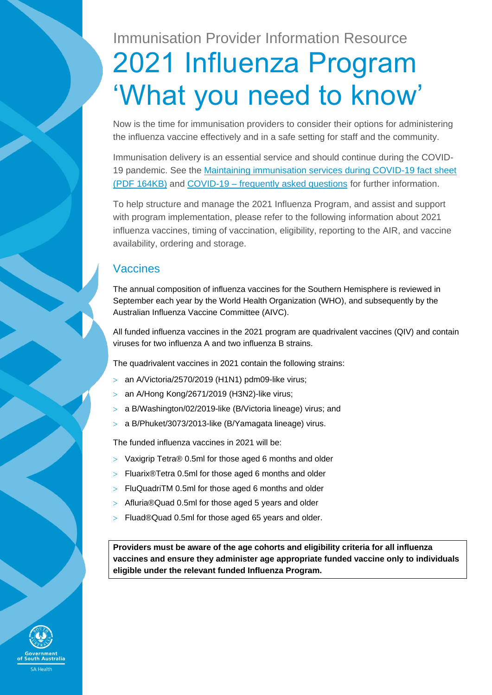# Immunisation Provider Information Resource 2021 Influenza Program 'What you need to know'

Now is the time for immunisation providers to consider their options for administering the influenza vaccine effectively and in a safe setting for staff and the community.

Immunisation delivery is an essential service and should continue during the COVID-19 pandemic. See the [Maintaining immunisation services during COVID-19 fact sheet](https://www.sahealth.sa.gov.au/wps/wcm/connect/public+content/sa+health+internet/resources/maintaining+immunisation+services+during+covid-19+fact+sheet)  [\(PDF 164KB\)](https://www.sahealth.sa.gov.au/wps/wcm/connect/public+content/sa+health+internet/resources/maintaining+immunisation+services+during+covid-19+fact+sheet) and COVID-19 – [frequently asked questions](https://www.health.gov.au/sites/default/files/documents/2020/03/coronavirus-covid-19-frequently-asked-questions.pdf) for further information.

To help structure and manage the 2021 Influenza Program, and assist and support with program implementation, please refer to the following information about 2021 influenza vaccines, timing of vaccination, eligibility, reporting to the AIR, and vaccine availability, ordering and storage.

## Vaccines

The annual composition of influenza vaccines for the Southern Hemisphere is reviewed in September each year by the World Health Organization (WHO), and subsequently by the Australian Influenza Vaccine Committee (AIVC).

All funded influenza vaccines in the 2021 program are quadrivalent vaccines (QIV) and contain viruses for two influenza A and two influenza B strains.

The quadrivalent vaccines in 2021 contain the following strains:

- $>$  an A/Victoria/2570/2019 (H1N1) pdm09-like virus;
- $>$  an A/Hong Kong/2671/2019 (H3N2)-like virus;
- a B/Washington/02/2019-like (B/Victoria lineage) virus; and
- a B/Phuket/3073/2013-like (B/Yamagata lineage) virus.

The funded influenza vaccines in 2021 will be:

- Vaxigrip Tetra® 0.5ml for those aged 6 months and older
- Fluarix®Tetra 0.5ml for those aged 6 months and older
- $>$  FluQuadriTM 0.5ml for those aged 6 months and older
- Afluria®Quad 0.5ml for those aged 5 years and older
- > Fluad®Quad 0.5ml for those aged 65 years and older.

**Providers must be aware of the age cohorts and eligibility criteria for all influenza vaccines and ensure they administer age appropriate funded vaccine only to individuals eligible under the relevant funded Influenza Program.**

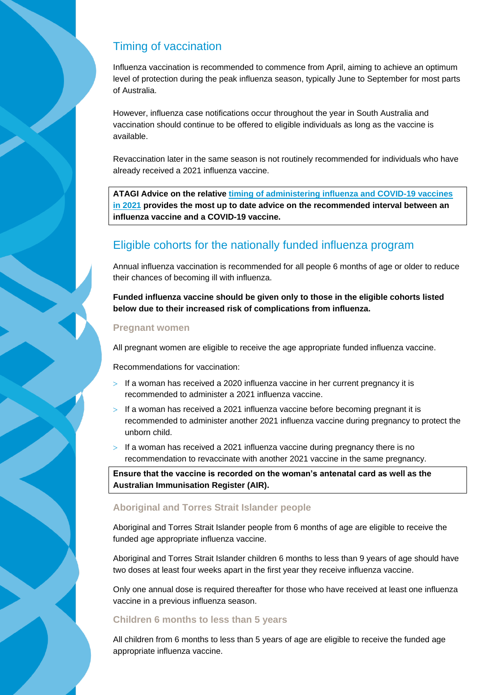# Timing of vaccination

Influenza vaccination is recommended to commence from April, aiming to achieve an optimum level of protection during the peak influenza season, typically June to September for most parts of Australia.

However, influenza case notifications occur throughout the year in South Australia and vaccination should continue to be offered to eligible individuals as long as the vaccine is available.

Revaccination later in the same season is not routinely recommended for individuals who have already received a 2021 influenza vaccine.

**ATAGI Advice on the relative [timing of administering influenza and COVID-19 vaccines](https://www.health.gov.au/resources/publications/covid-19-vaccination-atagi-advice-on-influenza-and-covid-19-vaccines)  [in 2021](https://www.health.gov.au/resources/publications/covid-19-vaccination-atagi-advice-on-influenza-and-covid-19-vaccines) provides the most up to date advice on the recommended interval between an influenza vaccine and a COVID-19 vaccine.**

# Eligible cohorts for the nationally funded influenza program

Annual influenza vaccination is recommended for all people 6 months of age or older to reduce their chances of becoming ill with influenza.

**Funded influenza vaccine should be given only to those in the eligible cohorts listed below due to their increased risk of complications from influenza.**

## **Pregnant women**

All pregnant women are eligible to receive the age appropriate funded influenza vaccine.

Recommendations for vaccination:

- $>$  If a woman has received a 2020 influenza vaccine in her current pregnancy it is recommended to administer a 2021 influenza vaccine.
- $>$  If a woman has received a 2021 influenza vaccine before becoming pregnant it is recommended to administer another 2021 influenza vaccine during pregnancy to protect the unborn child.
- $>$  If a woman has received a 2021 influenza vaccine during pregnancy there is no recommendation to revaccinate with another 2021 vaccine in the same pregnancy.

**Ensure that the vaccine is recorded on the woman's antenatal card as well as the Australian Immunisation Register (AIR).**

## **Aboriginal and Torres Strait Islander people**

Aboriginal and Torres Strait Islander people from 6 months of age are eligible to receive the funded age appropriate influenza vaccine.

Aboriginal and Torres Strait Islander children 6 months to less than 9 years of age should have two doses at least four weeks apart in the first year they receive influenza vaccine.

Only one annual dose is required thereafter for those who have received at least one influenza vaccine in a previous influenza season.

## **Children 6 months to less than 5 years**

All children from 6 months to less than 5 years of age are eligible to receive the funded age appropriate influenza vaccine.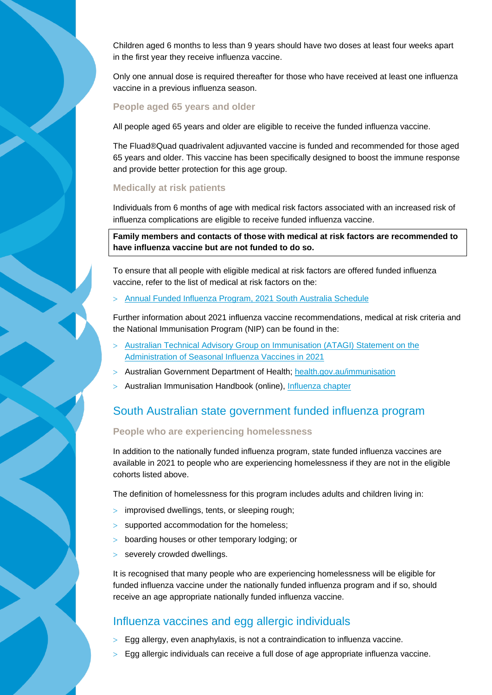Children aged 6 months to less than 9 years should have two doses at least four weeks apart in the first year they receive influenza vaccine.

Only one annual dose is required thereafter for those who have received at least one influenza vaccine in a previous influenza season.

#### **People aged 65 years and older**

All people aged 65 years and older are eligible to receive the funded influenza vaccine.

The Fluad®Quad quadrivalent adjuvanted vaccine is funded and recommended for those aged 65 years and older. This vaccine has been specifically designed to boost the immune response and provide better protection for this age group.

#### **Medically at risk patients**

Individuals from 6 months of age with medical risk factors associated with an increased risk of influenza complications are eligible to receive funded influenza vaccine.

**Family members and contacts of those with medical at risk factors are recommended to have influenza vaccine but are not funded to do so.**

To ensure that all people with eligible medical at risk factors are offered funded influenza vaccine, refer to the list of medical at risk factors on the:

[Annual Funded Influenza Program, 2021 South Australia Schedule](https://www.sahealth.sa.gov.au/wps/wcm/connect/6749e5a9-8a13-4cb3-8683-dbbe15cbd0f2/21006.6+Influenza+Program+Schedule+2021+-+FINAL.pdf?MOD=AJPERES&CACHEID=ROOTWORKSPACE-6749e5a9-8a13-4cb3-8683-dbbe15cbd0f2-nwKCfIx)

Further information about 2021 influenza vaccine recommendations, medical at risk criteria and the National Immunisation Program (NIP) can be found in the:

- [Australian Technical Advisory Group on Immunisation \(ATAGI\) Statement on the](https://www.health.gov.au/resources/publications/atagi-advice-on-seasonal-influenza-vaccines-in-2021)  [Administration of Seasonal Influenza Vaccines in 2021](https://www.health.gov.au/resources/publications/atagi-advice-on-seasonal-influenza-vaccines-in-2021)
- Australian Government Department of Health; [health.gov.au/immunisation](https://www.health.gov.au/health-topics/immunisation?utm_source=health.gov.au&utm_medium=redirect&utm_campaign=digital_transformation&utm_content=immunisation)
- Australian Immunisation Handbook (online), [Influenza chapter](https://immunisationhandbook.health.gov.au/vaccine-preventable-diseases/influenza-flu)

## South Australian state government funded influenza program

#### **People who are experiencing homelessness**

In addition to the nationally funded influenza program, state funded influenza vaccines are available in 2021 to people who are experiencing homelessness if they are not in the eligible cohorts listed above.

The definition of homelessness for this program includes adults and children living in:

- improvised dwellings, tents, or sleeping rough;
- > supported accommodation for the homeless;
- boarding houses or other temporary lodging; or
- > severely crowded dwellings.

It is recognised that many people who are experiencing homelessness will be eligible for funded influenza vaccine under the nationally funded influenza program and if so, should receive an age appropriate nationally funded influenza vaccine.

## Influenza vaccines and egg allergic individuals

- $>$  Egg allergy, even anaphylaxis, is not a contraindication to influenza vaccine.
- $>$  Egg allergic individuals can receive a full dose of age appropriate influenza vaccine.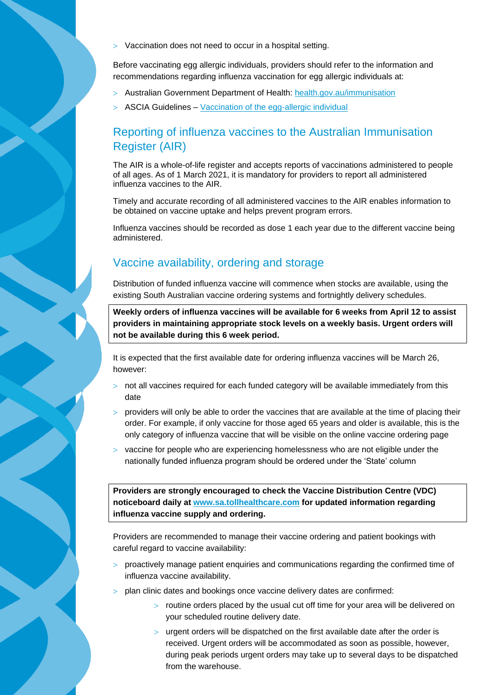Vaccination does not need to occur in a hospital setting.

Before vaccinating egg allergic individuals, providers should refer to the information and recommendations regarding influenza vaccination for egg allergic individuals at:

- Australian Government Department of Health: [health.gov.au/immunisation](http://www.health.gov.au/immunisation)
- $>$  ASCIA Guidelines [Vaccination of the egg-allergic individual](https://www.allergy.org.au/hp/papers/vaccination-of-the-egg-allergic-individual)

## Reporting of influenza vaccines to the Australian Immunisation Register (AIR)

The AIR is a whole-of-life register and accepts reports of vaccinations administered to people of all ages. As of 1 March 2021, it is mandatory for providers to report all administered influenza vaccines to the AIR.

Timely and accurate recording of all administered vaccines to the AIR enables information to be obtained on vaccine uptake and helps prevent program errors.

Influenza vaccines should be recorded as dose 1 each year due to the different vaccine being administered.

## Vaccine availability, ordering and storage

Distribution of funded influenza vaccine will commence when stocks are available, using the existing South Australian vaccine ordering systems and fortnightly delivery schedules.

**Weekly orders of influenza vaccines will be available for 6 weeks from April 12 to assist providers in maintaining appropriate stock levels on a weekly basis. Urgent orders will not be available during this 6 week period.**

It is expected that the first available date for ordering influenza vaccines will be March 26, however:

- $>$  not all vaccines required for each funded category will be available immediately from this date
- $>$  providers will only be able to order the vaccines that are available at the time of placing their order. For example, if only vaccine for those aged 65 years and older is available, this is the only category of influenza vaccine that will be visible on the online vaccine ordering page
- $>$  vaccine for people who are experiencing homelessness who are not eligible under the nationally funded influenza program should be ordered under the 'State' column

**Providers are strongly encouraged to check the Vaccine Distribution Centre (VDC) noticeboard daily at [www.sa.tollhealthcare.com](http://www.sa.tollhealthcare.com/) for updated information regarding influenza vaccine supply and ordering.**

Providers are recommended to manage their vaccine ordering and patient bookings with careful regard to vaccine availability:

- $>$  proactively manage patient enquiries and communications regarding the confirmed time of influenza vaccine availability.
- $>$  plan clinic dates and bookings once vaccine delivery dates are confirmed:
	- $>$  routine orders placed by the usual cut off time for your area will be delivered on your scheduled routine delivery date.
	- $>$  urgent orders will be dispatched on the first available date after the order is received. Urgent orders will be accommodated as soon as possible, however, during peak periods urgent orders may take up to several days to be dispatched from the warehouse.